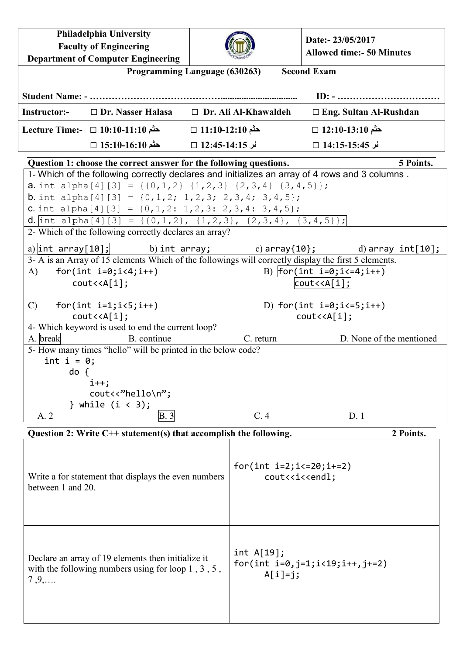| Philadelphia University                                                                                                                          |                                                                                                         |                   |                                                       | Date:- 23/05/2017                                                                                                                                                                                                                                                                                                                                                                                                                                                                                                                                                 |                          |  |  |
|--------------------------------------------------------------------------------------------------------------------------------------------------|---------------------------------------------------------------------------------------------------------|-------------------|-------------------------------------------------------|-------------------------------------------------------------------------------------------------------------------------------------------------------------------------------------------------------------------------------------------------------------------------------------------------------------------------------------------------------------------------------------------------------------------------------------------------------------------------------------------------------------------------------------------------------------------|--------------------------|--|--|
|                                                                                                                                                  | <b>Faculty of Engineering</b>                                                                           |                   |                                                       | <b>Allowed time:- 50 Minutes</b>                                                                                                                                                                                                                                                                                                                                                                                                                                                                                                                                  |                          |  |  |
|                                                                                                                                                  | <b>Department of Computer Engineering</b>                                                               |                   |                                                       |                                                                                                                                                                                                                                                                                                                                                                                                                                                                                                                                                                   |                          |  |  |
| <b>Second Exam</b><br>Programming Language (630263)                                                                                              |                                                                                                         |                   |                                                       |                                                                                                                                                                                                                                                                                                                                                                                                                                                                                                                                                                   |                          |  |  |
|                                                                                                                                                  |                                                                                                         |                   |                                                       |                                                                                                                                                                                                                                                                                                                                                                                                                                                                                                                                                                   |                          |  |  |
| Instructor:-                                                                                                                                     | $\Box$ Dr. Nasser Halasa                                                                                |                   | $\Box$ Dr. Ali Al-Khawaldeh                           | $\Box$ Eng. Sultan Al-Rushdan                                                                                                                                                                                                                                                                                                                                                                                                                                                                                                                                     |                          |  |  |
|                                                                                                                                                  |                                                                                                         | حثم 11:10-12:10 □ |                                                       | حثم 13:10-13:10 □                                                                                                                                                                                                                                                                                                                                                                                                                                                                                                                                                 |                          |  |  |
|                                                                                                                                                  | حثم 15:10-16:10 □                                                                                       | نر 14:15-14:35 □  |                                                       | نر 15:45-14:15 □                                                                                                                                                                                                                                                                                                                                                                                                                                                                                                                                                  |                          |  |  |
| Question 1: choose the correct answer for the following questions.<br>5 Points.                                                                  |                                                                                                         |                   |                                                       |                                                                                                                                                                                                                                                                                                                                                                                                                                                                                                                                                                   |                          |  |  |
| 1- Which of the following correctly declares and initializes an array of 4 rows and 3 columns.                                                   |                                                                                                         |                   |                                                       |                                                                                                                                                                                                                                                                                                                                                                                                                                                                                                                                                                   |                          |  |  |
| a. int alpha[4][3] = {{0,1,2} {1,2,3} {2,3,4} {3,4,5}};                                                                                          |                                                                                                         |                   |                                                       |                                                                                                                                                                                                                                                                                                                                                                                                                                                                                                                                                                   |                          |  |  |
| <b>b</b> . int alpha[4][3] = $\{0, 1, 2; 1, 2, 3; 2, 3, 4; 3, 4, 5\};$<br><b>C.</b> int alpha[4][3] = $\{0, 1, 2: 1, 2, 3: 2, 3, 4: 3, 4, 5\}$ ; |                                                                                                         |                   |                                                       |                                                                                                                                                                                                                                                                                                                                                                                                                                                                                                                                                                   |                          |  |  |
| <b>d</b> . int alpha[4][3] = {{0,1,2}, {1,2,3}, {2,3,4}, {3,4,5}};                                                                               |                                                                                                         |                   |                                                       |                                                                                                                                                                                                                                                                                                                                                                                                                                                                                                                                                                   |                          |  |  |
|                                                                                                                                                  | 2- Which of the following correctly declares an array?                                                  |                   |                                                       |                                                                                                                                                                                                                                                                                                                                                                                                                                                                                                                                                                   |                          |  |  |
|                                                                                                                                                  | a) $\vert$ int array[10]; b) int array;                                                                 |                   | c) $array{10}$ ;                                      |                                                                                                                                                                                                                                                                                                                                                                                                                                                                                                                                                                   | d) array $int[10]$ ;     |  |  |
| 3- A is an Array of 15 elements Which of the followings will correctly display the first 5 elements.                                             |                                                                                                         |                   |                                                       |                                                                                                                                                                                                                                                                                                                                                                                                                                                                                                                                                                   |                          |  |  |
| $\mathbf{A}$                                                                                                                                     | for(int $i=0; i<4; i++)$                                                                                |                   |                                                       | B) $\text{for}( \text{int } i = 0; \frac{1}{1} < -4; i++)$                                                                                                                                                                                                                                                                                                                                                                                                                                                                                                        |                          |  |  |
|                                                                                                                                                  | $\text{cout} \lt \lt A[i];$                                                                             |                   |                                                       | $\left[ \text{cout} \right. \left. \left. \right. \left. \right. \left. \left. \right. \left. \right. \left. \right. \left. \left. \right. \right. \left. \left. \right. \left. \right. \left. \right. \left. \left. \right. \right. \left. \left. \right. \right. \left. \left. \right. \right. \left. \left. \right. \left. \right. \left. \left. \right. \right. \left. \left. \right. \right. \left. \left. \right. \left. \right. \left. \left. \right. \right. \left. \left. \right. \right. \left. \left. \right. \right. \left. \left. \right. \right. \$ |                          |  |  |
| $\mathcal{C}$                                                                                                                                    | for(int $i=1; i<5; i++)$<br>D) for(int $i=0; i<=5; i++)$                                                |                   |                                                       |                                                                                                                                                                                                                                                                                                                                                                                                                                                                                                                                                                   |                          |  |  |
|                                                                                                                                                  | cout< <a[i];< td=""><td></td><td></td><td><math>\text{cout} \lt \lt A[i];</math></td><td></td></a[i];<> |                   |                                                       | $\text{cout} \lt \lt A[i];$                                                                                                                                                                                                                                                                                                                                                                                                                                                                                                                                       |                          |  |  |
| 4- Which keyword is used to end the current loop?                                                                                                |                                                                                                         |                   |                                                       |                                                                                                                                                                                                                                                                                                                                                                                                                                                                                                                                                                   |                          |  |  |
| A. break                                                                                                                                         | B. continue                                                                                             |                   | C. return                                             |                                                                                                                                                                                                                                                                                                                                                                                                                                                                                                                                                                   | D. None of the mentioned |  |  |
| 5- How many times "hello" will be printed in the below code?<br>int $i = 0$ ;                                                                    |                                                                                                         |                   |                                                       |                                                                                                                                                                                                                                                                                                                                                                                                                                                                                                                                                                   |                          |  |  |
| $do \{$                                                                                                                                          |                                                                                                         |                   |                                                       |                                                                                                                                                                                                                                                                                                                                                                                                                                                                                                                                                                   |                          |  |  |
|                                                                                                                                                  | $i++;$                                                                                                  |                   |                                                       |                                                                                                                                                                                                                                                                                                                                                                                                                                                                                                                                                                   |                          |  |  |
|                                                                                                                                                  | cout<<"hello\n";                                                                                        |                   |                                                       |                                                                                                                                                                                                                                                                                                                                                                                                                                                                                                                                                                   |                          |  |  |
|                                                                                                                                                  | } while $(i < 3)$ ;                                                                                     |                   |                                                       |                                                                                                                                                                                                                                                                                                                                                                                                                                                                                                                                                                   |                          |  |  |
| A. 2                                                                                                                                             | B. 3                                                                                                    |                   | C.4                                                   | D.1                                                                                                                                                                                                                                                                                                                                                                                                                                                                                                                                                               |                          |  |  |
| Question 2: Write C++ statement(s) that accomplish the following.<br>2 Points.                                                                   |                                                                                                         |                   |                                                       |                                                                                                                                                                                                                                                                                                                                                                                                                                                                                                                                                                   |                          |  |  |
|                                                                                                                                                  |                                                                                                         |                   |                                                       |                                                                                                                                                                                                                                                                                                                                                                                                                                                                                                                                                                   |                          |  |  |
|                                                                                                                                                  |                                                                                                         |                   | for(int $i=2; i<=20; i+=2)$                           |                                                                                                                                                                                                                                                                                                                                                                                                                                                                                                                                                                   |                          |  |  |
|                                                                                                                                                  | Write a for statement that displays the even numbers                                                    |                   | cout< <i<<endl;< td=""><td></td><td></td></i<<endl;<> |                                                                                                                                                                                                                                                                                                                                                                                                                                                                                                                                                                   |                          |  |  |
| between 1 and 20.                                                                                                                                |                                                                                                         |                   |                                                       |                                                                                                                                                                                                                                                                                                                                                                                                                                                                                                                                                                   |                          |  |  |
|                                                                                                                                                  |                                                                                                         |                   |                                                       |                                                                                                                                                                                                                                                                                                                                                                                                                                                                                                                                                                   |                          |  |  |
|                                                                                                                                                  |                                                                                                         |                   |                                                       |                                                                                                                                                                                                                                                                                                                                                                                                                                                                                                                                                                   |                          |  |  |
|                                                                                                                                                  |                                                                                                         |                   |                                                       |                                                                                                                                                                                                                                                                                                                                                                                                                                                                                                                                                                   |                          |  |  |
|                                                                                                                                                  |                                                                                                         |                   | int $A[19]$ ;                                         |                                                                                                                                                                                                                                                                                                                                                                                                                                                                                                                                                                   |                          |  |  |
|                                                                                                                                                  | Declare an array of 19 elements then initialize it                                                      |                   |                                                       | for(int $i=0$ , $j=1$ ; $i<19$ ; $i++$ , $j+=2$ )                                                                                                                                                                                                                                                                                                                                                                                                                                                                                                                 |                          |  |  |
| 7,9,                                                                                                                                             | with the following numbers using for loop $1, 3, 5$ ,                                                   |                   | $A[i]=j;$                                             |                                                                                                                                                                                                                                                                                                                                                                                                                                                                                                                                                                   |                          |  |  |
|                                                                                                                                                  |                                                                                                         |                   |                                                       |                                                                                                                                                                                                                                                                                                                                                                                                                                                                                                                                                                   |                          |  |  |
|                                                                                                                                                  |                                                                                                         |                   |                                                       |                                                                                                                                                                                                                                                                                                                                                                                                                                                                                                                                                                   |                          |  |  |
|                                                                                                                                                  |                                                                                                         |                   |                                                       |                                                                                                                                                                                                                                                                                                                                                                                                                                                                                                                                                                   |                          |  |  |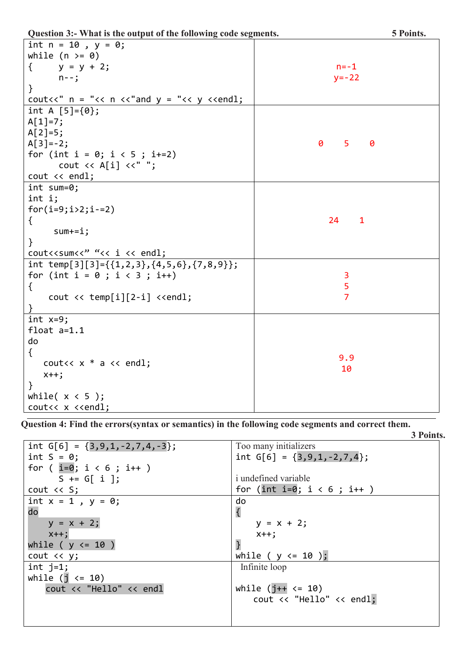| Question 3:- What is the output of the following code segments.                                   | 5 Points.                        |
|---------------------------------------------------------------------------------------------------|----------------------------------|
| int $n = 10$ , $y = 0$ ;                                                                          |                                  |
| while $(n \ge 0)$                                                                                 |                                  |
| $y = y + 2;$<br>$\{$                                                                              | $n = -1$                         |
| $n - -$ ;                                                                                         | $y = -22$                        |
| }                                                                                                 |                                  |
| cout<<" $n = "<< n << "and y = "<< y << "end1$ ;                                                  |                                  |
| int A $[5] = \{0\};$                                                                              |                                  |
| $A[1]=7;$                                                                                         |                                  |
| $A[2]=5;$                                                                                         |                                  |
| $A[3] = -2;$                                                                                      | $\theta$<br>5<br>0               |
| for (int i = 0; i < 5 ; i+=2)                                                                     |                                  |
| cout $\langle \langle A[i] \rangle \langle \langle$ ";                                            |                                  |
| cout << endl;                                                                                     |                                  |
| $int sum=0;$                                                                                      |                                  |
| int i;                                                                                            |                                  |
| $for(i=9;i>2;i-=2)$                                                                               |                                  |
| $\{$                                                                                              | 24<br>$\overline{\phantom{0}}$ 1 |
| $sum += i;$                                                                                       |                                  |
| ł                                                                                                 |                                  |
| cout< <sum<<" "<<="" <<="" endl;<="" i="" td=""><td></td></sum<<">                                |                                  |
| int temp[3][3]={{1,2,3},{4,5,6},{7,8,9}};                                                         |                                  |
| for (int $i = 0$ ; $i < 3$ ; $i++)$                                                               | 3                                |
| $\{$                                                                                              | 5                                |
| cout $\langle \rangle$ temp[i][2-i] $\langle \rangle$ and to temps and temporal $\langle \rangle$ | $\overline{7}$                   |
|                                                                                                   |                                  |
| $int x=9;$                                                                                        |                                  |
| float $a=1.1$                                                                                     |                                  |
| do                                                                                                |                                  |
| $\{$                                                                                              | 9.9                              |
| cout<< $x * a < \text{endl}$ ;                                                                    | 10                               |
| $x++;$                                                                                            |                                  |
| $\mathcal{F}$                                                                                     |                                  |
| while $(x < 5)$ ;                                                                                 |                                  |
| cout<< x < <endl;< td=""><td></td></endl;<>                                                       |                                  |

**Question 4: Find the errors(syntax or semantics) in the following code segments and correct them.**

|                                  | 3 Points.                     |
|----------------------------------|-------------------------------|
| int $G[6] = {3,9,1,-2,7,4,-3}$ ; | Too many initializers         |
| $int S = 0;$                     | int $G[6] = {3,9,1,-2,7,4}$ ; |
| for $(i=0; i < 6; i++)$          |                               |
| $S \leftarrow G[i]$ ;            | <i>i</i> undefined variable   |
| $\cot \leftarrow$ S;             | for (int i=0; $i < 6$ ; i++)  |
| int $x = 1$ , $y = 0$ ;          | do                            |
| do                               | $\{$                          |
| $y = x + 2;$                     | $y = x + 2;$                  |
| $x++;$                           | $X++;$                        |
| while ( $y \le 10$ )             |                               |
| $\cot < y;$                      | while ( $y \le 10$ );         |
| int $j=1$ ;                      | Infinite loop                 |
| while $(j \leq 10)$              |                               |
| cout << "Hello" << endl          | while $(j++ \leq 10)$         |
|                                  | cout << "Hello" << endl;      |
|                                  |                               |
|                                  |                               |